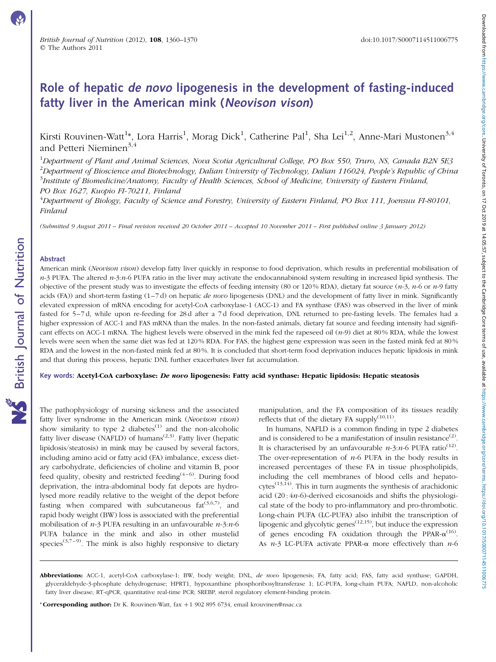Downloaded from https://www.cambridge.org/core. University of Toronto, on 17 Oct 2019 at 14:05:57, subject to the Cambridge Core terms of use, available at https://www.cambridge.org/core/terms of use, available at https:// Downloaded from https://www.cambridge.org/core. University of Toromo.corp. at 4:05:57, subject or terms of use, available at https://www.cambidge.org/core/terms./www.cambidge.org/core/terms./www.cambidge.org/core/terms./ww

# Role of hepatic de novo lipogenesis in the development of fasting-induced fatty liver in the American mink (Neovison vison)

Kirsti Rouvinen-Watt $^{1*}$ , Lora Harris $^{1}$ , Morag Dick $^{1}$ , Catherine Pal $^{1}$ , Sha Lei $^{1,2}$ , Anne-Mari Mustonen $^{3,4}$ and Petteri Nieminen<sup>3,4</sup>

<sup>1</sup>Department of Plant and Animal Sciences, Nova Scotia Agricultural College, PO Box 550, Truro, NS, Canada B2N 5E3  $^2$ Department of Bioscience and Biotechnology, Dalian University of Technology, Dalian 116024, People's Republic of China  $^3$ Institute of Biomedicine/Anatomy, Faculty of Health Sciences, School of Medicine, University of Eastern Finland, PO Box 1627, Kuopio FI-70211, Finland

<sup>4</sup>Department of Biology, Faculty of Science and Forestry, University of Eastern Finland, PO Box 111, Joensuu FI-80101, Finland

(Submitted 9 August 2011 – Final revision received 20 October 2011 – Accepted 10 November 2011 – First published online 3 January 2012)

#### Abstract

American mink (Neovison vison) develop fatty liver quickly in response to food deprivation, which results in preferential mobilisation of  $n-3$  PUFA. The altered  $n-3:n-6$  PUFA ratio in the liver may activate the endocannabinoid system resulting in increased lipid synthesis. The objective of the present study was to investigate the effects of feeding intensity (80 or 120 % RDA), dietary fat source  $(n-3, n-6)$  or  $n-9$  fatty acids (FA)) and short-term fasting  $(1-7d)$  on hepatic *de novo* lipogenesis (DNL) and the development of fatty liver in mink. Significantly elevated expression of mRNA encoding for acetyl-CoA carboxylase-1 (ACC-1) and FA synthase (FAS) was observed in the liver of mink fasted for 5–7 d, while upon re-feeding for 28 d after a 7 d food deprivation, DNL returned to pre-fasting levels. The females had a higher expression of ACC-1 and FAS mRNA than the males. In the non-fasted animals, dietary fat source and feeding intensity had significant effects on ACC-1 mRNA. The highest levels were observed in the mink fed the rapeseed oil  $(n-9)$  diet at 80% RDA, while the lowest levels were seen when the same diet was fed at 120 % RDA. For FAS, the highest gene expression was seen in the fasted mink fed at 80 % RDA and the lowest in the non-fasted mink fed at 80 %. It is concluded that short-term food deprivation induces hepatic lipidosis in mink and that during this process, hepatic DNL further exacerbates liver fat accumulation.

# Key words: Acetyl-CoA carboxylase: De novo lipogenesis: Fatty acid synthase: Hepatic lipidosis: Hepatic steatosis

The pathophysiology of nursing sickness and the associated fatty liver syndrome in the American mink (Neovison vison) show similarity to type 2 diabetes $^{(1)}$  and the non-alcoholic fatty liver disease (NAFLD) of humans<sup> $(2,3)$ </sup>. Fatty liver (hepatic lipidosis/steatosis) in mink may be caused by several factors, including amino acid or fatty acid (FA) imbalance, excess dietary carbohydrate, deficiencies of choline and vitamin B, poor feed quality, obesity and restricted feeding<sup> $(4-6)$ </sup>. During food deprivation, the intra-abdominal body fat depots are hydrolysed more readily relative to the weight of the depot before fasting when compared with subcutaneous fat  $(3,6,7)$ , and rapid body weight (BW) loss is associated with the preferential mobilisation of  $n-3$  PUFA resulting in an unfavourable  $n-3:n-6$ PUFA balance in the mink and also in other mustelid species<sup>(3,7-9)</sup>. The mink is also highly responsive to dietary

manipulation, and the FA composition of its tissues readily reflects that of the dietary FA supply<sup>(10,11)</sup>.

In humans, NAFLD is a common finding in type 2 diabetes and is considered to be a manifestation of insulin resistance<sup>(2)</sup>. It is characterised by an unfavourable  $n-3:n-6$  PUFA ratio<sup>(12)</sup>. The over-representation of  $n-6$  PUFA in the body results in increased percentages of these FA in tissue phospholipids, including the cell membranes of blood cells and hepatocytes<sup> $(13,14)$ </sup>. This in turn augments the synthesis of arachidonic acid  $(20:4n-6)$ -derived eicosanoids and shifts the physiological state of the body to pro-inflammatory and pro-thrombotic. Long-chain PUFA (LC-PUFA) also inhibit the transcription of lipogenic and glycolytic genes<sup> $(12,15)$ </sup>, but induce the expression of genes encoding FA oxidation through the PPAR- $\alpha^{(16)}$ . As  $n-3$  LC-PUFA activate PPAR- $\alpha$  more effectively than  $n-6$ 

\* **Corresponding author:** Dr K. Rouvinen-Watt, fax +1 902 895 6734, email krouvinen@nsac.ca

Abbreviations: ACC-1, acetyl-CoA carboxylase-1; BW, body weight; DNL, de novo lipogenesis; FA, fatty acid; FAS, fatty acid synthase; GAPDH, glyceraldehyde-3-phosphate dehydrogenase; HPRT1, hypoxanthine phosphoribosyltransferase 1; LC-PUFA, long-chain PUFA; NAFLD, non-alcoholic fatty liver disease; RT-qPCR, quantitative real-time PCR; SREBP, sterol regulatory element-binding protein.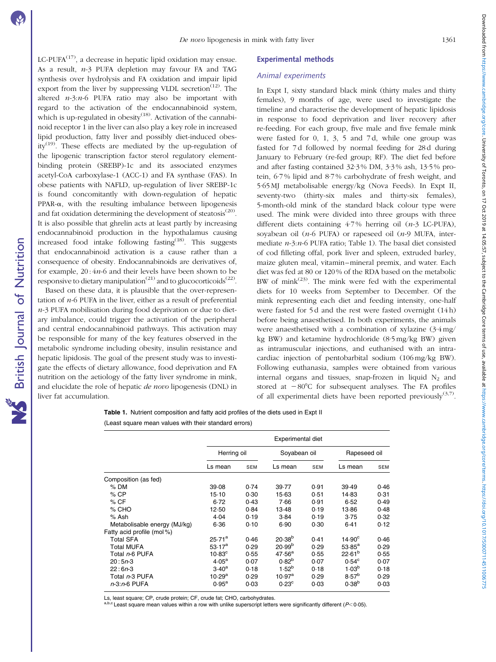$LC-PUFA$ <sup> $(17)$ </sup>, a decrease in hepatic lipid oxidation may ensue. As a result, n-3 PUFA depletion may favour FA and TAG synthesis over hydrolysis and FA oxidation and impair lipid export from the liver by suppressing VLDL secretion<sup> $(12)$ </sup>. The altered  $n-3:n-6$  PUFA ratio may also be important with regard to the activation of the endocannabinoid system, which is up-regulated in obesity<sup>(18)</sup>. Activation of the cannabinoid receptor 1 in the liver can also play a key role in increased lipid production, fatty liver and possibly diet-induced obesity<sup>(19)</sup>. These effects are mediated by the up-regulation of the lipogenic transcription factor sterol regulatory elementbinding protein (SREBP)-1c and its associated enzymes acetyl-CoA carboxylase-1 (ACC-1) and FA synthase (FAS). In obese patients with NAFLD, up-regulation of liver SREBP-1c is found concomitantly with down-regulation of hepatic PPAR- $\alpha$ , with the resulting imbalance between lipogenesis and fat oxidation determining the development of steatosis $^{(20)}$ . It is also possible that ghrelin acts at least partly by increasing endocannabinoid production in the hypothalamus causing increased food intake following fasting<sup>(18)</sup>. This suggests that endocannabinoid activation is a cause rather than a consequence of obesity. Endocannabinoids are derivatives of, for example,  $20:4n-6$  and their levels have been shown to be responsive to dietary manipulation<sup>(21)</sup> and to glucocorticoids<sup>(22)</sup>.

Based on these data, it is plausible that the over-representation of  $n-6$  PUFA in the liver, either as a result of preferential  $n-3$  PUFA mobilisation during food deprivation or due to dietary imbalance, could trigger the activation of the peripheral and central endocannabinoid pathways. This activation may be responsible for many of the key features observed in the metabolic syndrome including obesity, insulin resistance and hepatic lipidosis. The goal of the present study was to investigate the effects of dietary allowance, food deprivation and FA nutrition on the aetiology of the fatty liver syndrome in mink, and elucidate the role of hepatic *de novo* lipogenesis (DNL) in liver fat accumulation.

### Experimental methods

### Animal experiments

In Expt I, sixty standard black mink (thirty males and thirty females), 9 months of age, were used to investigate the timeline and characterise the development of hepatic lipidosis in response to food deprivation and liver recovery after re-feeding. For each group, five male and five female mink were fasted for 0, 1, 3, 5 and 7 d, while one group was fasted for 7 d followed by normal feeding for 28 d during January to February (re-fed group; RF). The diet fed before and after fasting contained 32·3 % DM, 3·3 % ash, 13·5 % protein, 6·7 % lipid and 8·7 % carbohydrate of fresh weight, and 5·65 MJ metabolisable energy/kg (Nova Feeds). In Expt II, seventy-two (thirty-six males and thirty-six females), 5-month-old mink of the standard black colour type were used. The mink were divided into three groups with three different diets containing  $4.7\%$  herring oil (n-3 LC-PUFA), soyabean oil ( $n-6$  PUFA) or rapeseed oil ( $n-9$  MUFA, intermediate  $n-3:n-6$  PUFA ratio; Table 1). The basal diet consisted of cod filleting offal, pork liver and spleen, extruded barley, maize gluten meal, vitamin–mineral premix, and water. Each diet was fed at 80 or 120 % of the RDA based on the metabolic BW of mink $(23)$ . The mink were fed with the experimental diets for 10 weeks from September to December. Of the mink representing each diet and feeding intensity, one-half were fasted for 5 d and the rest were fasted overnight (14 h) before being anaesthetised. In both experiments, the animals were anaesthetised with a combination of xylazine (3·4 mg/ kg BW) and ketamine hydrochloride (8·5 mg/kg BW) given as intramuscular injections, and euthanised with an intracardiac injection of pentobarbital sodium (106 mg/kg BW). Following euthanasia, samples were obtained from various internal organs and tissues, snap-frozen in liquid  $N_2$  and stored at  $-80^{\circ}$ C for subsequent analyses. The FA profiles of all experimental diets have been reported previously<sup> $(3,7)$ </sup>.

# Table 1. Nutrient composition and fatty acid profiles of the diets used in Expt II (Least square mean values with their standard errors)

|                              | Experimental diet    |            |                    |            |                    |            |  |  |  |
|------------------------------|----------------------|------------|--------------------|------------|--------------------|------------|--|--|--|
|                              | Herring oil          |            | Soyabean oil       |            | Rapeseed oil       |            |  |  |  |
|                              | Ls mean              | <b>SEM</b> | Ls mean            | <b>SEM</b> | Ls mean            | <b>SEM</b> |  |  |  |
| Composition (as fed)         |                      |            |                    |            |                    |            |  |  |  |
| $%$ DM                       | 39.08                | 0.74       | 39.77              | 0.91       | 39.49              | 0.46       |  |  |  |
| $%$ CP                       | $15-10$              | 0.30       | $15-63$            | 0.51       | 14.83              | 0.31       |  |  |  |
| % CF                         | $6 - 72$             | 0.43       | 7.66               | 0.91       | 6.52               | 0.49       |  |  |  |
| $%$ CHO                      | 12.50                | 0.84       | 13-48              | 0.19       | 13.86              | 0.48       |  |  |  |
| % Ash                        | 4.04                 | 0.19       | 3.84               | 0.19       | 3.75               | 0.32       |  |  |  |
| Metabolisable energy (MJ/kg) | 6.36                 | 0.10       | 6.90               | 0.30       | 6.41               | 0.12       |  |  |  |
| Fatty acid profile (mol%)    |                      |            |                    |            |                    |            |  |  |  |
| <b>Total SFA</b>             | $25.71^{a}$          | 0.46       | $20.38^{b}$        | 0.41       | $14.90^{\circ}$    | 0.46       |  |  |  |
| Total MUFA                   | $53.17^a$            | 0.29       | 20.99 <sup>b</sup> | 0.29       | $53.85^a$          | 0.29       |  |  |  |
| Total n-6 PUFA               | $10.83^\circ$        | 0.55       | 47.56 <sup>a</sup> | 0.55       | 22.61 <sup>b</sup> | 0.55       |  |  |  |
| $20:5n-3$                    | 4.05 <sup>a</sup>    | 0.07       | $0.82^{b}$         | 0.07       | $0.54^{\circ}$     | 0.07       |  |  |  |
| $22:6n-3$                    | $3.40^a$             | 0.18       | $1.52^{b}$         | 0.18       | 1.03 <sup>b</sup>  | 0.18       |  |  |  |
| Total n-3 PUFA               | $10.29^{\mathrm{a}}$ | 0.29       | $10.97^{\rm a}$    | 0.29       | $8.57^{b}$         | 0.29       |  |  |  |
| n-3:n-6 PUFA                 | $0.95^{\rm a}$       | 0.03       | $0.23^{\circ}$     | 0.03       | $0.38^{b}$         | 0.03       |  |  |  |

Ls, least square; CP, crude protein; CF, crude fat; CHO, carbohydrates.

 $c$  Least square mean values within a row with unlike superscript letters were significantly different ( $P$ < 0.05).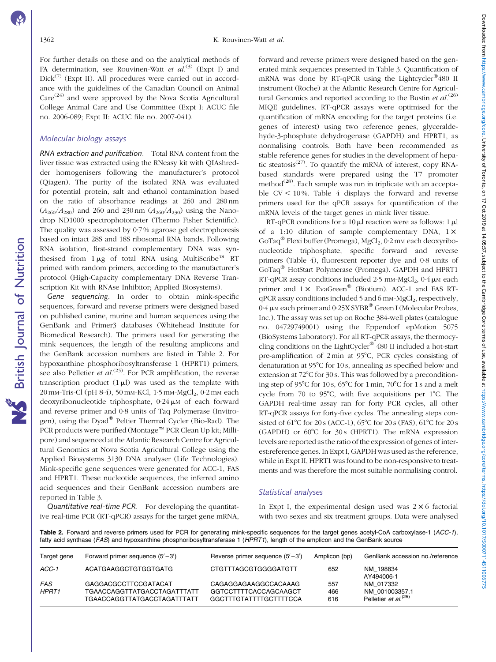For further details on these and on the analytical methods of FA determination, see Rouvinen-Watt et  $al^{(3)}$  (Expt I) and  $Dick^{(7)}$  (Expt II). All procedures were carried out in accordance with the guidelines of the Canadian Council on Animal  $Care^{(24)}$  and were approved by the Nova Scotia Agricultural College Animal Care and Use Committee (Expt I: ACUC file no. 2006-089; Expt II: ACUC file no. 2007-041).

## Molecular biology assays

RNA extraction and purification. Total RNA content from the liver tissue was extracted using the RNeasy kit with QIAshredder homogenisers following the manufacturer's protocol (Qiagen). The purity of the isolated RNA was evaluated for potential protein, salt and ethanol contamination based on the ratio of absorbance readings at 260 and 280 nm  $(A_{260}/A_{280})$  and 260 and 230 nm  $(A_{260}/A_{230})$  using the Nanodrop ND1000 spectrophotometer (Thermo Fisher Scientific). The quality was assessed by 0·7 % agarose gel electrophoresis based on intact 28S and 18S ribosomal RNA bands. Following RNA isolation, first-strand complementary DNA was synthesised from  $1 \mu$ g of total RNA using MultiScribe<sup>TM</sup> RT primed with random primers, according to the manufacturer's protocol (High-Capacity complementary DNA Reverse Transcription Kit with RNAse Inhibitor; Applied Biosystems).

Gene sequencing. In order to obtain mink-specific sequences, forward and reverse primers were designed based on published canine, murine and human sequences using the GenBank and Primer3 databases (Whitehead Institute for Biomedical Research). The primers used for generating the mink sequences, the length of the resulting amplicons and the GenBank accession numbers are listed in Table 2. For hypoxanthine phosphoribosyltransferase 1 (HPRT1) primers, see also Pelletier et  $al^{(25)}$ . For PCR amplification, the reverse transcription product  $(1 \mu l)$  was used as the template with  $20 \text{ mm-Tris-Cl}$  (pH  $8.4$ ), 50 mm-KCl, 1.5 mm-MgCl<sub>2</sub>, 0.2 mm each deoxyribonucleotide triphosphate,  $0.24 \mu M$  of each forward and reverse primer and 0·8 units of Taq Polymerase (Invitrogen), using the Dyad<sup>®</sup> Peltier Thermal Cycler (Bio-Rad). The PCR products were purified (Montage™ PCR Clean Up kit; Millipore) and sequenced at the Atlantic Research Centre for Agricultural Genomics at Nova Scotia Agricultural College using the Applied Biosystems 3130 DNA analyser (Life Technologies). Mink-specific gene sequences were generated for ACC-1, FAS and HPRT1. These nucleotide sequences, the inferred amino acid sequences and their GenBank accession numbers are reported in [Table 3](#page-3-0).

Quantitative real-time PCR. For developing the quantitative real-time PCR (RT-qPCR) assays for the target gene mRNA,

forward and reverse primers were designed based on the generated mink sequences presented in [Table 3](#page-3-0). Quantification of mRNA was done by RT-qPCR using the Lightcycler®480 II instrument (Roche) at the Atlantic Research Centre for Agricultural Genomics and reported according to the Bustin et  $al$ .<sup>(26)</sup> MIQE guidelines. RT-qPCR assays were optimised for the quantification of mRNA encoding for the target proteins (i.e. genes of interest) using two reference genes, glyceraldehyde-3-phosphate dehydrogenase (GAPDH) and HPRT1, as normalising controls. Both have been recommended as stable reference genes for studies in the development of hepatic steatosis<sup> $(27)$ </sup>. To quantify the mRNA of interest, copy RNAbased standards were prepared using the T7 promoter method $^{(28)}$ . Each sample was run in triplicate with an acceptable  $CV < 10\%$ . [Table 4](#page-4-0) displays the forward and reverse primers used for the qPCR assays for quantification of the mRNA levels of the target genes in mink liver tissue.

RT-qPCR conditions for a 10  $\mu$ l reaction were as follows: 1  $\mu$ l of a 1:10 dilution of sample complementary DNA,  $1 \times$ GoTaq<sup>®</sup> Flexi buffer (Promega), MgCl<sub>2</sub>, 0·2 mm each deoxyribonucleotide triphosphate, specific forward and reverse primers [\(Table 4\)](#page-4-0), fluorescent reporter dye and 0·8 units of GoTaq<sup>®</sup> HotStart Polymerase (Promega). GAPDH and HPRT1 RT-qPCR assay conditions included  $2.5$  mm-MgCl<sub>2</sub>,  $0.4 \mu$ m each primer and  $1 \times$  EvaGreen<sup>®</sup> (Biotium). ACC-1 and FAS RT $qPCR$  assay conditions included 5 and 6 mm-MgCl<sub>2</sub>, respectively,  $0.4 \mu$ M each primer and  $0.25X SYBR^{\circledR}$  Green I (Molecular Probes, Inc.). The assay was set up on Roche 384-well plates (catalogue no. 04729749001) using the Eppendorf epMotion 5075 (BioSystems Laboratory). For all RT-qPCR assays, the thermocycling conditions on the LightCycler<sup>®</sup>  $480$  II included a hot-start pre-amplification of 2min at 95°C, PCR cycles consisting of denaturation at 95°C for 10s, annealing as specified below and extension at  $72^{\circ}$ C for 30 s. This was followed by a preconditioning step of 95°C for 10s, 65°C for 1min, 70°C for 1s and a melt cycle from 70 to 95 $\degree$ C, with five acquisitions per 1 $\degree$ C. The GAPDH real-time assay ran for forty PCR cycles, all other RT-qPCR assays for forty-five cycles. The annealing steps consisted of 61°C for 20 s (ACC-1), 65°C for 20 s (FAS), 61°C for 20 s (GAPDH) or  $60^{\circ}$ C for  $30s$  (HPRT1). The mRNA expression levels are reported as the ratio of the expression of genes of interest:reference genes. In Expt I, GAPDH was used as the reference, while in Expt II, HPRT1 was found to be non-responsive to treatments and was therefore the most suitable normalising control.

# Statistical analyses

In Expt I, the experimental design used was  $2 \times 6$  factorial with two sexes and six treatment groups. Data were analysed

Table 2. Forward and reverse primers used for PCR for generating mink-specific sequences for the target genes acetyl-CoA carboxylase-1 (ACC-1). fatty acid synthase (FAS) and hypoxanthine phosphoribosyltransferase 1 (HPRT1), length of the amplicon and the GenBank source

| Target gene         | Forward primer sequence $(5' - 3')$                                                       | Reverse primer sequence $(5' - 3')$                                     | Amplicon (bp)     | GenBank accession no./reference                                 |
|---------------------|-------------------------------------------------------------------------------------------|-------------------------------------------------------------------------|-------------------|-----------------------------------------------------------------|
| $ACC-1$             | ACATGAAGGCTGTGGTGATG                                                                      | <b>CTGTTTAGCGTGGGGATGTT</b>                                             | 652               | NM 198834<br>AY494006-1                                         |
| FAS<br><b>HPRT1</b> | <b>GAGGACGCCTTCCGATACAT</b><br>TGAACCAGGTTATGACCTAGATTTATT<br>TGAACCAGGTTATGACCTAGATTTATT | CAGAGGAGAAGGCCACAAAG<br>GGTCCTTTTCACCAGCAAGCT<br>GGCTTTGTATTTTGCTTTTCCA | 557<br>466<br>616 | NM 017332<br>NM 001003357.1<br>Pelletier et al. <sup>(25)</sup> |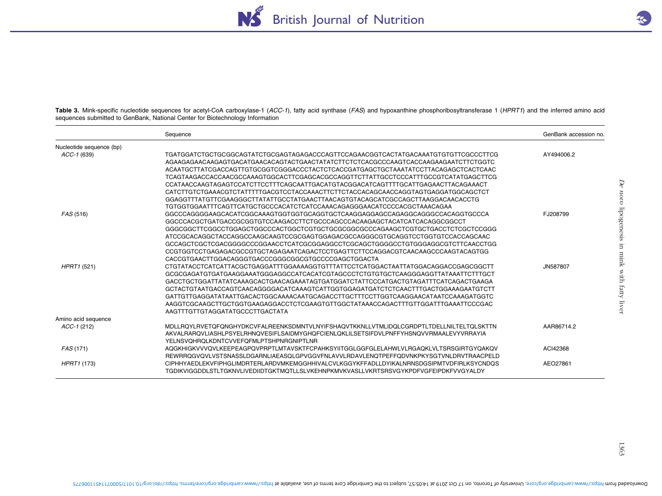

<span id="page-3-0"></span>Table 3. Mink-specific nucleotide sequences for acetyl-CoA carboxylase-1 (ACC-1), fatty acid synthase (FAS) and hypoxanthine phosphoribosyltransferase 1 (HPRT1) and the inferred amino acid sequences submitted to GenBank, National Center for Biotechnology Information

|                          | Sequence                                                                                 | GenBank accession no. |
|--------------------------|------------------------------------------------------------------------------------------|-----------------------|
| Nucleotide sequence (bp) |                                                                                          |                       |
| ACC-1 (639)              | TGATGGATCTGCTGCGGCAGTATCTGCGAGTAGAGACCCAGTTCCAGAACGGTCACTATGACAAATGTGTGTTCGCCCTTCG       | AY494006.2            |
|                          | AGAAGAAGAACAAGAGTGACATGAACACAGTACTGAACTATATCTTCTCTCACGCCCAAGTCACCAAGAAGAATCTTCTGGTC      |                       |
|                          |                                                                                          |                       |
|                          | TCAGTAAGACCACCAACGCCAAAGTGGCACTTCGAGCACGCCAGGTTCTTATTGCCTCCCATTTGCCGTCATATGAGCTTCG       |                       |
|                          | CCATAACCAAGTAGAGTCCATCTTCCTTTCAGCAATTGACATGTACGGACATCAGTTTTGCATTGAGAACTTACAGAAACT        |                       |
|                          | CATCTTGTCTGAAACGTCTATTTTTGACGTCCTACCAAACTTCTTCTACCACAGCAACCAGGTAGTGAGGATGGCAGCTCT        |                       |
|                          | GGAGGTTTATGTTCGAAGGGCTTATATTGCCTATGAACTTAACAGTGTACAGCATCGCCAGCTTAAGGACAACACCTG           |                       |
|                          | TGTGGTGGAATTTCAGTTCATGCTGCCCACATCTCATCCAAACAGAGGGAACATCCCCACGCTAAACAGAA                  |                       |
| FAS (516)                | GGCCCAGGGGAAGCACATCGGCAAAGTGGTGGTGCAGGTGCTCAAGGAGGAGCCAGAGGCCAGGGCCACAGGTGCCCA           | FJ208799              |
|                          | GGCCCACGCTGATGACCGCGGTGTCCAAGACCTTCTGCCCAGCCCACAAGAGCTACATCATCACAGGCGGCCT                |                       |
|                          |                                                                                          |                       |
|                          | ATCCGCACAGGCTACCAGGCCAAGCAAGTCCGCGAGTGGAGACGCCAGGGCGTGCAGGTCCTGGTGTCCACCAGCAAC           |                       |
|                          | GCCAGCTCGCTCGACGGGGCCCGGAACCTCATCGCGGAGGCCTCGCAGCTGGGGCCTGTGGGAGGCGTCTTCAACCTGG          |                       |
|                          | CCGTGGTCCTGAGAGACGCCGTGCTAGAGAATCAGACTCCTGAGTTCTTCCAGGACGTCAACAAGCCCAAGTACAGTGG          |                       |
|                          | CACCGTGAACTTGGACAGGGTGACCCGGGCGGCGTGCCCCGAGCTGGACTA                                      |                       |
| HPRT1 (521)              | CTGTATACCTCATCATTACGCTGAGGATTTGGAAAAGGTGTTTATTCCTCATGGACTAATTATGGACAGGACCGAGCGGCTT       | JN587807              |
|                          | GCGCGAGATGTGATGAAGGAAATGGGAGGCCATCACATCGTAGCCCTCTGTGTGCTCAAGGGAGGTTATAAATTCTTTGCT        |                       |
|                          | GACCTGCTGGATTATATCAAAGCACTGAACAGAAATAGTGATGGATCTATTCCCATGACTGTAGATTTCATCAGACTGAAGA       |                       |
|                          | GCTACTGTAATGACCAGTCAACAGGGGACATCAAAGTCATTGGTGGAGATGATCTCTCAACTTTGACTGGAAAGAATGTCTT       |                       |
|                          | GATTGTTGAGGATATAATTGACACTGGCAAAACAATGCAGACCTTGCTTTCCTTGGTCAAGGAACATAATCCAAAGATGGTC       |                       |
|                          | AAGGTCGCAAGCTTGCTGGTGAAGAGGACCTCTCGAAGTGTTGGCTATAAACCAGACTTTGTTGGATTTGAAATTCCCGAC        |                       |
|                          | AAGTTTGTTGTAGGATATGCCCTTGACTATA                                                          |                       |
| Amino acid sequence      |                                                                                          |                       |
| $ACC-1$ (212)            | MDLLROYLRVETOFONGHYDKCVFALREENKSDMNTVLNYIFSHAOVTKKNLLVTMLIDOLCGRDPTLTDELLNILTELTOLSKTTN  | AAR86714.2            |
|                          | AKVALRARQVLIASHLPSYELRHNQVESIFLSAIDMYGHQFCIENLQKLILSETSIFDVLPNFFYHSNQVVRMAALEVYVRRAYIA   |                       |
|                          | <b>YELNSVQHRQLKDNTCVVEFQFMLPTSHPNRGNIPTLNR</b>                                           |                       |
| FAS (171)                | AQGKHIGKVVVQVLKEEPEAGPQVPRPTLMTAVSKTFCPAHKSYIITGGLGGFGLELAHWLVLRGAQKLVLTSRSGIRTGYQAKQV   | ACI42368              |
|                          | REWRROGVOVLVSTSNASSLDGARNLIAEASOLGPVGGVFNLAVVLRDAVLENOTPEFFODVNKPKYSGTVNLDRVTRAACPELD    |                       |
| HPRT1 (173)              | CIPHHYAEDLEKVFIPHGLIMDRTERLARDVMKEMGGHHIVALCVLKGGYKFFADLLDYIKALNRNSDGSIPMTVDFIRLKSYCNDOS | AEO27861              |
|                          | TGDIKVIGGDDLSTLTGKNVLIVEDIIDTGKTMQTLLSLVKEHNPKMVKVASLLVKRTSRSVGYKPDFVGFEIPDKFVVGYALDY    |                       |
|                          |                                                                                          |                       |

1363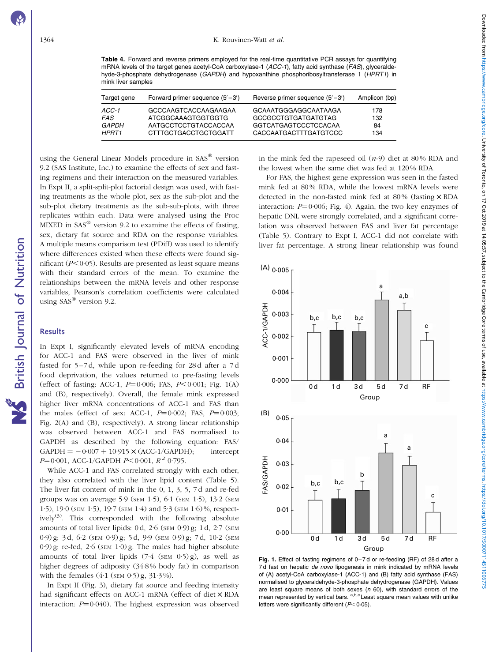<span id="page-4-0"></span>Table 4. Forward and reverse primers employed for the real-time quantitative PCR assays for quantifying mRNA levels of the target genes acetyl-CoA carboxylase-1  $(ACC-1)$ , fatty acid synthase ( $FAS$ ), glyceraldehyde-3-phosphate dehydrogenase (GAPDH) and hypoxanthine phosphoribosyltransferase 1 (HPRT1) in mink liver samples

| Target gene  | Forward primer sequence $(5' - 3')$ | Reverse primer sequence $(5' - 3')$ | Amplicon (bp) |
|--------------|-------------------------------------|-------------------------------------|---------------|
| ACC-1        | GCCCAAGTCACCAAGAAGAA                | GCAAATGGGAGGCAATAAGA                | 178           |
| FAS          | ATCGGCAAAGTGGTGGTG                  | GCCGCCTGTGATGATGTAG                 | 132           |
| <i>GAPDH</i> | AATGCCTCCTGTACCACCAA                | GGTCATGAGTCCCTCCACAA                | 84            |
| HPRT1        | CTTTGCTGACCTGCTGGATT                | CACCAATGACTTTGATGTCCC               | 134           |

using the General Linear Models procedure in SAS® version 9.2 (SAS Institute, Inc.) to examine the effects of sex and fasting regimens and their interaction on the measured variables. In Expt II, a split-split-plot factorial design was used, with fasting treatments as the whole plot, sex as the sub-plot and the sub-plot dietary treatments as the sub-sub-plots, with three replicates within each. Data were analysed using the Proc MIXED in  $SAS^{\circledR}$  version 9.2 to examine the effects of fasting, sex, dietary fat source and RDA on the response variables. A multiple means comparison test (PDiff) was used to identify where differences existed when these effects were found significant  $(P<0.05)$ . Results are presented as least square means with their standard errors of the mean. To examine the relationships between the mRNA levels and other response variables, Pearson's correlation coefficients were calculated using  $SAS^{\circledR}$  version 9.2.

### **Results**

British Journal of Nutrition

British Journal of Nutrition

In Expt I, significantly elevated levels of mRNA encoding for ACC-1 and FAS were observed in the liver of mink fasted for 5–7 d, while upon re-feeding for 28 d after a 7 d food deprivation, the values returned to pre-fasting levels (effect of fasting: ACC-1,  $P=0.006$ ; FAS,  $P<0.001$ ; Fig. 1(A) and (B), respectively). Overall, the female mink expressed higher liver mRNA concentrations of ACC-1 and FAS than the males (effect of sex: ACC-1,  $P=0.002$ ; FAS,  $P=0.003$ ; [Fig. 2\(A\) and \(B\)](#page-5-0), respectively). A strong linear relationship was observed between ACC-1 and FAS normalised to GAPDH as described by the following equation: FAS/  $GAPDH = -0.007 + 10.915 \times (ACC-1/GAPDH);$  intercept  $P=0.001$ , ACC-1/GAPDH  $P<0.001$ ,  $R<sup>2</sup>$  0.795.

While ACC-1 and FAS correlated strongly with each other, they also correlated with the liver lipid content ([Table 5](#page-5-0)). The liver fat content of mink in the 0, 1, 3, 5, 7 d and re-fed groups was on average 5·9 (SEM 1·5), 6·1 (SEM 1·5), 13·2 (SEM 1·5), 19·0 (SEM 1·5), 19·7 (SEM 1·4) and 5·3 (SEM 1·6) %, respectively<sup>(3)</sup>. This corresponded with the following absolute amounts of total liver lipids: 0 d, 2·6 (SEM 0·9) g; 1 d, 2·7 (SEM 0·9) g; 3 d, 6·2 (SEM 0·9) g; 5 d, 9·9 (SEM 0·9) g; 7 d, 10·2 (SEM 0·9) g; re-fed, 2·6 (SEM 1·0) g. The males had higher absolute amounts of total liver lipids  $(7.4 \text{ (SEM } 0.5) \text{ g})$ , as well as higher degrees of adiposity (34·8 % body fat) in comparison with the females  $(4.1$  (SEM  $0.5)$  g,  $31.3\%$ ).

In Expt II ([Fig. 3\)](#page-6-0), dietary fat source and feeding intensity had significant effects on ACC-1 mRNA (effect of diet  $\times$  RDA interaction:  $P=0.040$ ). The highest expression was observed in the mink fed the rapeseed oil (n-9) diet at 80 % RDA and the lowest when the same diet was fed at 120 % RDA.

For FAS, the highest gene expression was seen in the fasted mink fed at 80 % RDA, while the lowest mRNA levels were detected in the non-fasted mink fed at  $80\%$  (fasting  $\times$  RDA interaction:  $P=0.006$ ; [Fig. 4](#page-6-0)). Again, the two key enzymes of hepatic DNL were strongly correlated, and a significant correlation was observed between FAS and liver fat percentage [\(Table 5\)](#page-5-0). Contrary to Expt I, ACC-1 did not correlate with liver fat percentage. A strong linear relationship was found



Fig. 1. Effect of fasting regimens of 0–7 d or re-feeding (RF) of 28 d after a 7d fast on hepatic de novo lipogenesis in mink indicated by mRNA levels of (A) acetyl-CoA carboxylase-1 (ACC-1) and (B) fatty acid synthase (FAS) normalised to glyceraldehyde-3-phosphate dehydrogenase (GAPDH). Values are least square means of both sexes ( $n$  60), with standard errors of the mean represented by vertical bars. <sup>a,b,c</sup> Least square mean values with unlike letters were significantly different  $(P<0.05)$ .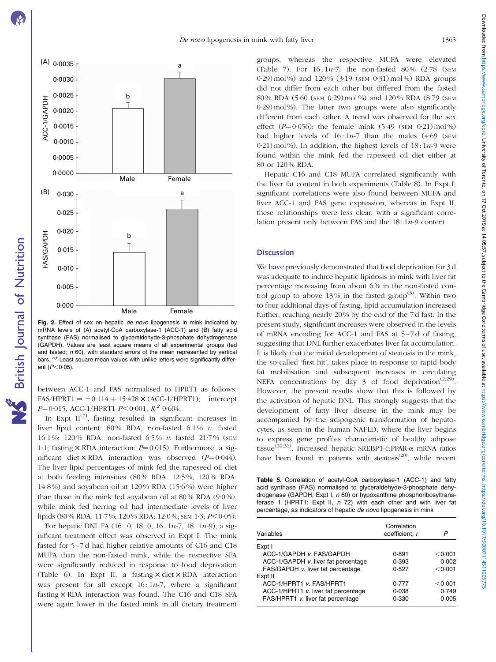<span id="page-5-0"></span>

Fig. 2. Effect of sex on hepatic de novo lipogenesis in mink indicated by mRNA levels of (A) acetyl-CoA carboxylase-1 (ACC-1) and (B) fatty acid synthase (FAS) normalised to glyceraldehyde-3-phosphate dehydrogenase (GAPDH). Values are least square means of all experimental groups (fed and fasted;  $n$  60), with standard errors of the mean represented by vertical bars. a,b Least square mean values with unlike letters were significantly different  $(P<0.05)$ .

British Journal of Nutrition

NS British Journal of Nutrition

between ACC-1 and FAS normalised to HPRT1 as follows:  $FAS/HPRT1 = -0.114 + 15.428 \times (ACC-1/HPRT1);$  intercept  $P=0.015$ , ACC-1/HPRT1  $P<0.001$ ,  $R^2$  0.604.

In Expt  $II^{(7)}$ , fasting resulted in significant increases in liver lipid content:  $80\%$  RDA, non-fasted  $6.1\%$  v. fasted 16·1 %; 120 % RDA, non-fasted 6·5 % v. fasted 21·7 % (SEM 1.1; fasting  $\times$  RDA interaction:  $P=0.015$ ). Furthermore, a significant diet  $\times$  RDA interaction was observed ( $P=0.044$ ). The liver lipid percentages of mink fed the rapeseed oil diet at both feeding intensities (80 % RDA: 12·5 %; 120 % RDA: 14·8 %) and soyabean oil at 120 % RDA (15·6 %) were higher than those in the mink fed soyabean oil at  $80\%$  RDA (9 $0\%$ ), while mink fed herring oil had intermediate levels of liver lipids (80 % RDA: 11·7 %; 120 % RDA: 12·0 %; SEM 1·3;  $P \le 0.05$ ).

For hepatic DNL FA  $(16: 0, 18: 0, 16: 1n-7, 18: 1n-9)$ , a significant treatment effect was observed in Expt I. The mink fasted for 5–7 d had higher relative amounts of C16 and C18 MUFA than the non-fasted mink, while the respective SFA were significantly reduced in response to food deprivation ([Table 6](#page-7-0)). In Expt II, a fasting  $\times$  diet  $\times$  RDA interaction was present for all except  $16:1n-7$ , where a significant fasting  $\times$  RDA interaction was found. The C16 and C18 SFA were again lower in the fasted mink in all dietary treatment groups, whereas the respective MUFA were elevated ([Table 7\)](#page-7-0). For 16 : 1n-7, the non-fasted 80 % (2·78 (SEM 0.29) mol %) and  $120\%$  (3.19 (SEM 0.31) mol %) RDA groups did not differ from each other but differed from the fasted 80 % RDA (5·60 (SEM 0·29) mol %) and 120 % RDA (8·79 (SEM 0·29) mol %). The latter two groups were also significantly different from each other. A trend was observed for the sex effect  $(P=0.056)$ ; the female mink  $(5.49$  (SEM 0.21) mol %) had higher levels of  $16:1n-7$  than the males  $(4.69)$  (SEM  $0.21$ ) mol%). In addition, the highest levels of  $18:1n-9$  were found within the mink fed the rapeseed oil diet either at 80 or 120 % RDA.

Hepatic C16 and C18 MUFA correlated significantly with the liver fat content in both experiments ([Table 8\)](#page-8-0). In Expt I, significant correlations were also found between MUFA and liver ACC-1 and FAS gene expression, whereas in Expt II, these relationships were less clear, with a significant correlation present only between FAS and the  $18:1n-9$  content.

# **Discussion**

We have previously demonstrated that food deprivation for 3 d was adequate to induce hepatic lipidosis in mink with liver fat percentage increasing from about 6 % in the non-fasted control group to above 13% in the fasted group<sup>(3)</sup>. Within two to four additional days of fasting, lipid accumulation increased further, reaching nearly 20 % by the end of the 7 d fast. In the present study, significant increases were observed in the levels of mRNA encoding for ACC-1 and FAS at 5–7 d of fasting, suggesting that DNL further exacerbates liver fat accumulation. It is likely that the initial development of steatosis in the mink, the so-called 'first hit', takes place in response to rapid body fat mobilisation and subsequent increases in circulating NEFA concentrations by day 3 of food deprivation<sup>(2,29)</sup>. However, the present results show that this is followed by the activation of hepatic DNL. This strongly suggests that the development of fatty liver disease in the mink may be accompanied by the adipogenic transformation of hepatocytes, as seen in the human NAFLD, where the liver begins to express gene profiles characteristic of healthy adipose tissue<sup>(30,31)</sup>. Increased hepatic SREBP1-c:PPAR- $\alpha$  mRNA ratios have been found in patients with steatosis $(20)$ , while recent

Table 5. Correlation of acetyl-CoA carboxylase-1 (ACC-1) and fatty acid synthase (FAS) normalised to glyceraldehyde-3-phosphate dehydrogenase (GAPDH; Expt I, n 60) or hypoxanthine phosphoribosyltransferase 1 (HPRT1; Expt II, n 72) with each other and with liver fat percentage, as indicators of hepatic de novo lipogenesis in mink

| Variables                           | Correlation<br>coefficient, r | Р       |
|-------------------------------------|-------------------------------|---------|
| Expt I                              |                               |         |
| ACC-1/GAPDH v. FAS/GAPDH            | 0.891                         | < 0.001 |
| ACC-1/GAPDH v. liver fat percentage | 0.393                         | 0.002   |
| FAS/GAPDH v. liver fat percentage   | 0.527                         | < 0.001 |
| Expt II                             |                               |         |
| ACC-1/HPRT1 v. FAS/HPRT1            | 0.777                         | < 0.001 |
| ACC-1/HPRT1 v. liver fat percentage | 0.038                         | 0.749   |
| FAS/HPRT1 v. liver fat percentage   | 0.330                         | 0.005   |
|                                     |                               |         |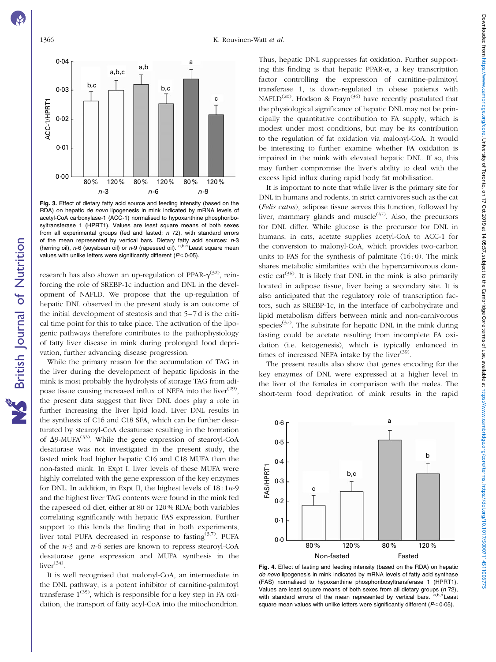British Journal of Nutrition

**NS** British Journal of Nutrition

<span id="page-6-0"></span>

Fig. 3. Effect of dietary fatty acid source and feeding intensity (based on the RDA) on hepatic de novo lipogenesis in mink indicated by mRNA levels of acetyl-CoA carboxylase-1 (ACC-1) normalised to hypoxanthine phosphoribosyltransferase 1 (HPRT1). Values are least square means of both sexes from all experimental groups (fed and fasted;  $n$  72), with standard errors of the mean represented by vertical bars. Dietary fatty acid sources: n-3 (herring oil),  $n-6$  (soyabean oil) or  $n-9$  (rapeseed oil). a,b,c Least square mean values with unlike letters were significantly different ( $P<0.05$ ).

research has also shown an up-regulation of PPAR- $\gamma^{(32)}$ , reinforcing the role of SREBP-1c induction and DNL in the development of NAFLD. We propose that the up-regulation of hepatic DNL observed in the present study is an outcome of the initial development of steatosis and that 5–7 d is the critical time point for this to take place. The activation of the lipogenic pathways therefore contributes to the pathophysiology of fatty liver disease in mink during prolonged food deprivation, further advancing disease progression.

While the primary reason for the accumulation of TAG in the liver during the development of hepatic lipidosis in the mink is most probably the hydrolysis of storage TAG from adipose tissue causing increased influx of NEFA into the liver<sup>(29)</sup>, the present data suggest that liver DNL does play a role in further increasing the liver lipid load. Liver DNL results in the synthesis of C16 and C18 SFA, which can be further desaturated by stearoyl-CoA desaturase resulting in the formation of  $\Delta$ 9-MUFA<sup>(33)</sup>. While the gene expression of stearoyl-CoA desaturase was not investigated in the present study, the fasted mink had higher hepatic C16 and C18 MUFA than the non-fasted mink. In Expt I, liver levels of these MUFA were highly correlated with the gene expression of the key enzymes for DNL. In addition, in Expt II, the highest levels of  $18:1n-9$ and the highest liver TAG contents were found in the mink fed the rapeseed oil diet, either at 80 or 120 % RDA; both variables correlating significantly with hepatic FAS expression. Further support to this lends the finding that in both experiments, liver total PUFA decreased in response to fasting<sup> $(3,7)$ </sup>. PUFA of the n-3 and n-6 series are known to repress stearoyl-CoA desaturase gene expression and MUFA synthesis in the  $liver<sup>(34)</sup>$ .

It is well recognised that malonyl-CoA, an intermediate in the DNL pathway, is a potent inhibitor of carnitine-palmitoyl transferase  $1^{(35)}$ , which is responsible for a key step in FA oxidation, the transport of fatty acyl-CoA into the mitochondrion. Thus, hepatic DNL suppresses fat oxidation. Further supporting this finding is that hepatic PPAR- $\alpha$ , a key transcription factor controlling the expression of carnitine-palmitoyl transferase 1, is down-regulated in obese patients with NAFLD<sup>(20)</sup>. Hodson & Frayn<sup>(36)</sup> have recently postulated that the physiological significance of hepatic DNL may not be principally the quantitative contribution to FA supply, which is modest under most conditions, but may be its contribution to the regulation of fat oxidation via malonyl-CoA. It would be interesting to further examine whether FA oxidation is impaired in the mink with elevated hepatic DNL. If so, this may further compromise the liver's ability to deal with the excess lipid influx during rapid body fat mobilisation.

It is important to note that while liver is the primary site for DNL in humans and rodents, in strict carnivores such as the cat (Felis catus), adipose tissue serves this function, followed by liver, mammary glands and muscle $(37)$ . Also, the precursors for DNL differ. While glucose is the precursor for DNL in humans, in cats, acetate supplies acetyl-CoA to ACC-1 for the conversion to malonyl-CoA, which provides two-carbon units to FAS for the synthesis of palmitate  $(16:0)$ . The mink shares metabolic similarities with the hypercarnivorous domestic cat<sup>(38)</sup>. It is likely that DNL in the mink is also primarily located in adipose tissue, liver being a secondary site. It is also anticipated that the regulatory role of transcription factors, such as SREBP-1c, in the interface of carbohydrate and lipid metabolism differs between mink and non-carnivorous species<sup>(37)</sup>. The substrate for hepatic DNL in the mink during fasting could be acetate resulting from incomplete FA oxidation (i.e. ketogenesis), which is typically enhanced in times of increased NEFA intake by the liver $(39)$ .

The present results also show that genes encoding for the key enzymes of DNL were expressed at a higher level in the liver of the females in comparison with the males. The short-term food deprivation of mink results in the rapid



Fig. 4. Effect of fasting and feeding intensity (based on the RDA) on hepatic de novo lipogenesis in mink indicated by mRNA levels of fatty acid synthase (FAS) normalised to hypoxanthine phosphoribosyltransferase 1 (HPRT1). Values are least square means of both sexes from all dietary groups ( $n$  72), with standard errors of the mean represented by vertical bars.  $a,b,c$  Least with standard errors of the mean represented by vertical bars. square mean values with unlike letters were significantly different ( $P<0.05$ ).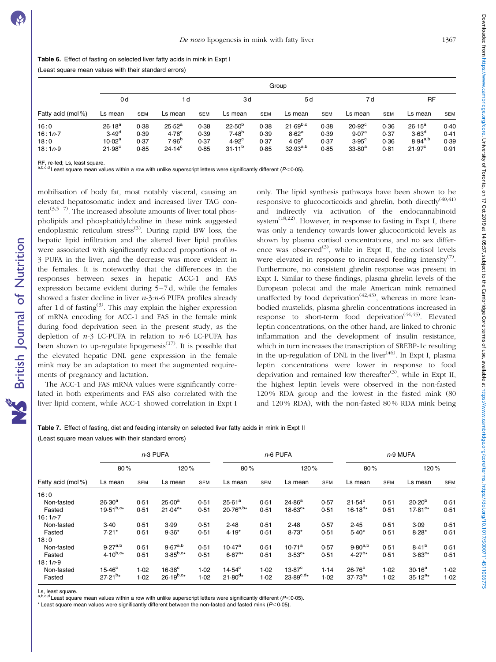<span id="page-7-0"></span>

|  | Table 6. Effect of fasting on selected liver fatty acids in mink in Expt I |  |  |
|--|----------------------------------------------------------------------------|--|--|
|  |                                                                            |  |  |

(Least square mean values with their standard errors)

|                                        | Group                                                                         |                              |                                                                  |                              |                                                                                   |                              |                                                                          |                              |                                                                       |                              |                                                                   |                              |
|----------------------------------------|-------------------------------------------------------------------------------|------------------------------|------------------------------------------------------------------|------------------------------|-----------------------------------------------------------------------------------|------------------------------|--------------------------------------------------------------------------|------------------------------|-----------------------------------------------------------------------|------------------------------|-------------------------------------------------------------------|------------------------------|
|                                        | 0 <sub>d</sub>                                                                |                              | 1 d                                                              |                              | 3d                                                                                |                              | 5d                                                                       |                              | 7 d                                                                   |                              | <b>RF</b>                                                         |                              |
| Fatty acid (mol%)                      | Ls mean                                                                       | <b>SEM</b>                   | Ls mean                                                          | <b>SEM</b>                   | Ls mean                                                                           | <b>SEM</b>                   | Ls mean                                                                  | <b>SEM</b>                   | Ls mean                                                               | <b>SEM</b>                   | Ls mean                                                           | <b>SEM</b>                   |
| 16:0<br>$16:1n-7$<br>18:0<br>$18:1n-9$ | 26.18 <sup>a</sup><br>3.49 <sup>d</sup><br>$10.02^{\rm a}$<br>$21.98^{\circ}$ | 0.38<br>0.39<br>0.37<br>0.85 | $25.52^a$<br>4.78 <sup>c</sup><br>7.96 <sup>b</sup><br>$24.14^c$ | 0.38<br>0.39<br>0.37<br>0.85 | 22.50 <sup>b</sup><br>7.48 <sup>b</sup><br>4.92 <sup>c</sup><br>$31 \cdot 11^{b}$ | 0.38<br>0.39<br>0.37<br>0.85 | $21.69^{b,c}$<br>8.62 <sup>a</sup><br>4.09 <sup>c</sup><br>$32.93^{a,b}$ | 0.38<br>0.39<br>0.37<br>0.85 | $20.92^{\circ}$<br>9.07 <sup>a</sup><br>$3.95^{\circ}$<br>$33.80^{a}$ | 0.36<br>0.37<br>0.36<br>0.81 | $26.15^a$<br>3.63 <sup>d</sup><br>$8.94^{a,b}$<br>$21.97^{\circ}$ | 0.40<br>0.41<br>0.39<br>0.91 |

RF, re-fed; Ls, least square.

British Journal of Nutrition

**NS** British Journal of Nutrition

<sup>t,b,c,d</sup> Least square mean values within a row with unlike superscript letters were significantly different (P<0·05).

mobilisation of body fat, most notably visceral, causing an elevated hepatosomatic index and increased liver TAG con $tent^{(3,5-7)}$ . The increased absolute amounts of liver total phospholipids and phosphatidylcholine in these mink suggested endoplasmic reticulum stress<sup>(3)</sup>. During rapid BW loss, the hepatic lipid infiltration and the altered liver lipid profiles were associated with significantly reduced proportions of  $n$ -3 PUFA in the liver, and the decrease was more evident in the females. It is noteworthy that the differences in the responses between sexes in hepatic ACC-1 and FAS expression became evident during 5–7 d, while the females showed a faster decline in liver  $n=3$ : $n=6$  PUFA profiles already after 1 d of fasting<sup>(3)</sup>. This may explain the higher expression of mRNA encoding for ACC-1 and FAS in the female mink during food deprivation seen in the present study, as the depletion of  $n-3$  LC-PUFA in relation to  $n-6$  LC-PUFA has been shown to up-regulate lipogenesis<sup> $(17)$ </sup>. It is possible that the elevated hepatic DNL gene expression in the female mink may be an adaptation to meet the augmented requirements of pregnancy and lactation.

The ACC-1 and FAS mRNA values were significantly correlated in both experiments and FAS also correlated with the liver lipid content, while ACC-1 showed correlation in Expt I only. The lipid synthesis pathways have been shown to be responsive to glucocorticoids and ghrelin, both directly<sup>(40,41)</sup> and indirectly via activation of the endocannabinoid system<sup> $(18,22)$ </sup>. However, in response to fasting in Expt I, there was only a tendency towards lower glucocorticoid levels as shown by plasma cortisol concentrations, and no sex difference was observed<sup>(3)</sup>, while in Expt II, the cortisol levels were elevated in response to increased feeding intensity<sup>(7)</sup>. Furthermore, no consistent ghrelin response was present in Expt I. Similar to these findings, plasma ghrelin levels of the European polecat and the male American mink remained unaffected by food deprivation<sup> $(42,43)$ </sup>, whereas in more leanbodied mustelids, plasma ghrelin concentrations increased in response to short-term food deprivation<sup> $(44,45)$ </sup>. Elevated leptin concentrations, on the other hand, are linked to chronic inflammation and the development of insulin resistance, which in turn increases the transcription of SREBP-1c resulting in the up-regulation of DNL in the liver $(46)$ . In Expt I, plasma leptin concentrations were lower in response to food deprivation and remained low thereafter<sup>(3)</sup>, while in Expt II, the highest leptin levels were observed in the non-fasted 120 % RDA group and the lowest in the fasted mink (80 and 120 % RDA), with the non-fasted 80 % RDA mink being

|  | Table 7. Effect of fasting, diet and feeding intensity on selected liver fatty acids in mink in Expt II |  |  |  |
|--|---------------------------------------------------------------------------------------------------------|--|--|--|
|  | (Least square mean values with their standard errors)                                                   |  |  |  |

|                   |                 |            | $n-3$ PUFA      |            | $n-6$ PUFA         |            |                    |            | $n-9$ MUFA   |      |                    |            |
|-------------------|-----------------|------------|-----------------|------------|--------------------|------------|--------------------|------------|--------------|------|--------------------|------------|
|                   | 80%             |            | 120%            |            | 80%                |            | 120%               |            | 80%          |      | 120%               |            |
| Fatty acid (mol%) | Ls mean         | <b>SEM</b> | Ls mean         | <b>SEM</b> | Ls mean            | <b>SEM</b> | Ls mean            | <b>SEM</b> | Ls mean      | SEM  | Ls mean            | <b>SEM</b> |
| 16:0              |                 |            |                 |            |                    |            |                    |            |              |      |                    |            |
| Non-fasted        | $26.30^{a}$     | 0.51       | $25.00^{\circ}$ | 0.51       | $25.61^a$          | 0.51       | 24.86 <sup>a</sup> | 0.57       | $21.54^{b}$  | 0.51 | $20.20^{b}$        | 0.51       |
| Fasted            | $19.51^{b,c*}$  | 0.51       | $21.04^{a*}$    | 0.51       | $20.76^{a,b*}$     | 0.51       | $18.63^{c*}$       | 0.51       | $16.18^{d*}$ | 0.51 | 17.81 <sup>c</sup> | 0.51       |
| $16:1n-7$         |                 |            |                 |            |                    |            |                    |            |              |      |                    |            |
| Non-fasted        | 3.40            | 0.51       | 3.99            | 0.51       | 2.48               | 0.51       | 2.48               | 0.57       | 2.45         | 0.51 | 3.09               | 0.51       |
| Fasted            | $7.21*$         | 0.51       | $9.36*$         | 0.51       | $4.19*$            | 0.51       | $8.73*$            | 0.51       | $5.40*$      | 0.51 | $8.28*$            | 0.51       |
| 18:0              |                 |            |                 |            |                    |            |                    |            |              |      |                    |            |
| Non-fasted        | $9.27^{a,b}$    | 0.51       | $9.67^{a,b}$    | 0.51       | 10.47 <sup>a</sup> | 0.51       | 10.71 <sup>a</sup> | 0.57       | $9.80^{a,b}$ | 0.51 | 8.41 <sup>b</sup>  | 0.51       |
| Fasted            | $4.10^{b, c*}$  | 0.51       | $3.85^{b,c*}$   | 0.51       | $6.67a*$           | 0.51       | $3.53^{c*}$        | 0.51       | $4.27^{b*}$  | 0.51 | $3.63^{c*}$        | 0.51       |
| $18:1n-9$         |                 |            |                 |            |                    |            |                    |            |              |      |                    |            |
| Non-fasted        | $15.46^{\circ}$ | 1.02       | $16.38^\circ$   | 1.02       | $14.54^{\circ}$    | 1.02       | $13.87^{\circ}$    | 1.14       | $26.76^{b}$  | 1.02 | $30.16^a$          | 1.02       |
| Fasted            | $27.21^{b*}$    | 1.02       | $26.19^{b,c*}$  | 1.02       | $21.80^{d*}$       | 1.02       | $23.89^{c,d*}$     | 1.02       | $37.73^{a*}$ | 1.02 | $35.12^{a*}$       | 1.02       |

Ls, least square.

a,b,c,d Least square mean values within a row with unlike superscript letters were significantly different ( $P$ < 0.05).

\* Least square mean values were significantly different between the non-fasted and fasted mink ( $P < 0.05$ ).

Downloaded from https://www.cambridge.org/core. University of Toronto, on 17 Oct 2019 at 14:05:57, subject to the Cambridge Core terms of use, available at https://www.cambridge.core terms of use, available at https://www. Downloaded from https://www.cambridge.org/core. University of Toromo.corp. at 4:05:57, subject or terms of use, available at https://www.cambidge.org/core/terms./www.cambidge.org/core/terms./www.cambidge.org/core/terms./ww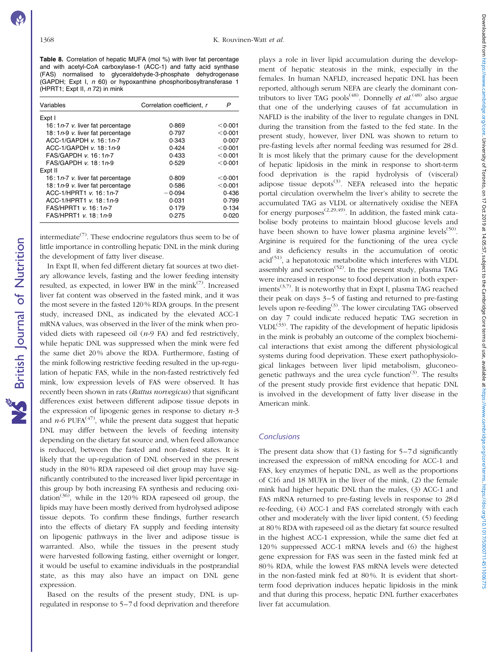British Journal of Nutrition

**NS** British Journal of Nutrition

<span id="page-8-0"></span>Table 8. Correlation of hepatic MUFA (mol %) with liver fat percentage and with acetyl-CoA carboxylase-1 (ACC-1) and fatty acid synthase (FAS) normalised to glyceraldehyde-3-phosphate dehydrogenase (GAPDH; Expt I, n 60) or hypoxanthine phosphoribosyltransferase 1 (HPRT1; Expt II, n 72) in mink

| Variables                          | Correlation coefficient. r | P         |
|------------------------------------|----------------------------|-----------|
| Expt I                             |                            |           |
| 16: $1n-7$ v. liver fat percentage | 0.869                      | $<$ 0.001 |
| 18: $1n-9$ v. liver fat percentage | 0.797                      | < 0.001   |
| ACC-1/GAPDH $v$ , 16: 1n-7         | 0.343                      | 0.007     |
| ACC-1/GAPDH $v$ , 18: 1n-9         | 0.424                      | < 0.001   |
| FAS/GAPDH v. 16:1n-7               | 0.433                      | < 0.001   |
| $FAS/GAPDH$ v. 18:1n-9             | 0.529                      | < 0.001   |
| Expt II                            |                            |           |
| 16: $1n-7$ v. liver fat percentage | 0.809                      | < 0.001   |
| 18: $1n-9$ v. liver fat percentage | 0.586                      | < 0.001   |
| ACC-1/HPRT1 v. 16:1n-7             | $-0.094$                   | 0.436     |
| ACC-1/HPRT1 v. 18:1n-9             | 0.031                      | 0.799     |
| FAS/HPRT1 v. 16:1n-7               | 0.179                      | 0.134     |
| FAS/HPRT1 v. 18:1n-9               | 0.275                      | 0.020     |

intermediate<sup> $(7)$ </sup>. These endocrine regulators thus seem to be of little importance in controlling hepatic DNL in the mink during the development of fatty liver disease.

In Expt II, when fed different dietary fat sources at two dietary allowance levels, fasting and the lower feeding intensity resulted, as expected, in lower BW in the mink $(7)$ . Increased liver fat content was observed in the fasted mink, and it was the most severe in the fasted 120 % RDA groups. In the present study, increased DNL, as indicated by the elevated ACC-1 mRNA values, was observed in the liver of the mink when provided diets with rapeseed oil  $(n-9)$  FA) and fed restrictively, while hepatic DNL was suppressed when the mink were fed the same diet 20 % above the RDA. Furthermore, fasting of the mink following restrictive feeding resulted in the up-regulation of hepatic FAS, while in the non-fasted restrictively fed mink, low expression levels of FAS were observed. It has recently been shown in rats (Rattus norvegicus) that significant differences exist between different adipose tissue depots in the expression of lipogenic genes in response to dietary  $n-3$ and  $n-6$  PUFA<sup>(47)</sup>, while the present data suggest that hepatic DNL may differ between the levels of feeding intensity depending on the dietary fat source and, when feed allowance is reduced, between the fasted and non-fasted states. It is likely that the up-regulation of DNL observed in the present study in the 80 % RDA rapeseed oil diet group may have significantly contributed to the increased liver lipid percentage in this group by both increasing FA synthesis and reducing oxidation<sup>(36)</sup>, while in the 120% RDA rapeseed oil group, the lipids may have been mostly derived from hydrolysed adipose tissue depots. To confirm these findings, further research into the effects of dietary FA supply and feeding intensity on lipogenic pathways in the liver and adipose tissue is warranted. Also, while the tissues in the present study were harvested following fasting, either overnight or longer, it would be useful to examine individuals in the postprandial state, as this may also have an impact on DNL gene expression.

Based on the results of the present study, DNL is upregulated in response to 5–7 d food deprivation and therefore

plays a role in liver lipid accumulation during the development of hepatic steatosis in the mink, especially in the females. In human NAFLD, increased hepatic DNL has been reported, although serum NEFA are clearly the dominant contributors to liver TAG pools<sup>(48)</sup>. Donnelly et  $al$ <sup>(48)</sup> also argue that one of the underlying causes of fat accumulation in NAFLD is the inability of the liver to regulate changes in DNL during the transition from the fasted to the fed state. In the present study, however, liver DNL was shown to return to pre-fasting levels after normal feeding was resumed for 28 d. It is most likely that the primary cause for the development of hepatic lipidosis in the mink in response to short-term food deprivation is the rapid hydrolysis of (visceral) adipose tissue depots $(3)$ . NEFA released into the hepatic portal circulation overwhelm the liver's ability to secrete the accumulated TAG as VLDL or alternatively oxidise the NEFA for energy purposes<sup> $(2,29,49)$ </sup>. In addition, the fasted mink catabolise body proteins to maintain blood glucose levels and have been shown to have lower plasma arginine levels<sup> $(50)$ </sup>. Arginine is required for the functioning of the urea cycle and its deficiency results in the accumulation of orotic  $\text{acid}^{(51)}$ , a hepatotoxic metabolite which interferes with VLDL assembly and secretion<sup> $(52)$ </sup>. In the present study, plasma TAG were increased in response to food deprivation in both experiments<sup> $(3,7)$ </sup>. It is noteworthy that in Expt I, plasma TAG reached their peak on days 3–5 of fasting and returned to pre-fasting levels upon re-feeding<sup>(3)</sup>. The lower circulating TAG observed on day 7 could indicate reduced hepatic TAG secretion in VLDL $^{(33)}$ . The rapidity of the development of hepatic lipidosis in the mink is probably an outcome of the complex biochemical interactions that exist among the different physiological systems during food deprivation. These exert pathophysiological linkages between liver lipid metabolism, gluconeogenetic pathways and the urea cycle function $(3)$ . The results of the present study provide first evidence that hepatic DNL is involved in the development of fatty liver disease in the American mink.

# **Conclusions**

The present data show that (1) fasting for 5–7 d significantly increased the expression of mRNA encoding for ACC-1 and FAS, key enzymes of hepatic DNL, as well as the proportions of C16 and 18 MUFA in the liver of the mink, (2) the female mink had higher hepatic DNL than the males, (3) ACC-1 and FAS mRNA returned to pre-fasting levels in response to 28 d re-feeding, (4) ACC-1 and FAS correlated strongly with each other and moderately with the liver lipid content, (5) feeding at 80 % RDA with rapeseed oil as the dietary fat source resulted in the highest ACC-1 expression, while the same diet fed at 120 % suppressed ACC-1 mRNA levels and (6) the highest gene expression for FAS was seen in the fasted mink fed at 80 % RDA, while the lowest FAS mRNA levels were detected in the non-fasted mink fed at 80 %. It is evident that shortterm food deprivation induces hepatic lipidosis in the mink and that during this process, hepatic DNL further exacerbates liver fat accumulation.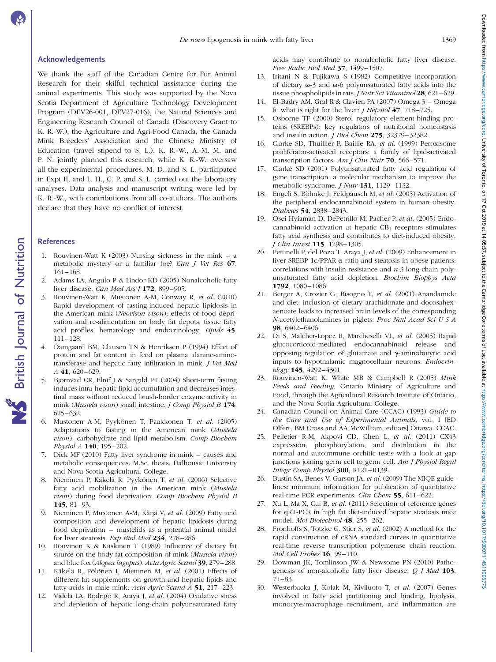### Acknowledgements

We thank the staff of the Canadian Centre for Fur Animal Research for their skilful technical assistance during the animal experiments. This study was supported by the Nova Scotia Department of Agriculture Technology Development Program (DEV26-001, DEV27-016), the Natural Sciences and Engineering Research Council of Canada (Discovery Grant to K. R.-W.), the Agriculture and Agri-Food Canada, the Canada Mink Breeders' Association and the Chinese Ministry of Education (travel stipend to S. L.). K. R.-W., A.-M. M. and P. N. jointly planned this research, while K. R.-W. oversaw all the experimental procedures. M. D. and S. L. participated in Expt II, and L. H., C. P. and S. L. carried out the laboratory analyses. Data analysis and manuscript writing were led by K. R.-W., with contributions from all co-authors. The authors declare that they have no conflict of interest.

### References

- 1. Rouvinen-Watt K (2003) Nursing sickness in the mink a metabolic mystery or a familiar foe? Can J Vet Res 67, 161–168.
- 2. Adams LA, Angulo P & Lindor KD (2005) Nonalcoholic fatty liver disease. *Can Med Ass J* **172**, 899-905.
- 3. Rouvinen-Watt K, Mustonen A-M, Conway R, et al. (2010) Rapid development of fasting-induced hepatic lipidosis in the American mink (Neovison vison): effects of food deprivation and re-alimentation on body fat depots, tissue fatty acid profiles, hematology and endocrinology. Lipids 45, 111–128.
- 4. Damgaard BM, Clausen TN & Henriksen P (1994) Effect of protein and fat content in feed on plasma alanine-aminotransferase and hepatic fatty infiltration in mink. J Vet Med A 41, 620–629.
- 5. Bjornvad CR, Elnif J & Sangild PT (2004) Short-term fasting induces intra-hepatic lipid accumulation and decreases intestinal mass without reduced brush-border enzyme activity in mink (Mustela vison) small intestine. J Comp Physiol B 174, 625–632.
- 6. Mustonen A-M, Pyykönen T, Paakkonen T, et al. (2005) Adaptations to fasting in the American mink (Mustela vison): carbohydrate and lipid metabolism. Comp Biochem Physiol A 140, 195–202.
- 7. Dick MF (2010) Fatty liver syndrome in mink causes and metabolic consequences. M.Sc. thesis. Dalhousie University and Nova Scotia Agricultural College.
- 8. Nieminen P, Käkelä R, Pyykönen T, et al. (2006) Selective fatty acid mobilization in the American mink (Mustela vison) during food deprivation. Comp Biochem Physiol B 145, 81–93.
- 9. Nieminen P, Mustonen A-M, Kärjä V, et al. (2009) Fatty acid composition and development of hepatic lipidosis during food deprivation – mustelids as a potential animal model for liver steatosis. Exp Biol Med 234, 278–286.
- 10. Rouvinen K & Kiiskinen T (1989) Influence of dietary fat source on the body fat composition of mink (Mustela vison) and blue fox (Alopex lagopus). Acta Agric Scand 39, 279–288.
- 11. Käkelä R, Pölönen I, Miettinen M, et al. (2001) Effects of different fat supplements on growth and hepatic lipids and fatty acids in male mink. Acta Agric Scand A 51, 217–223.
- 12. Videla LA, Rodrigo R, Araya J, et al. (2004) Oxidative stress and depletion of hepatic long-chain polyunsaturated fatty

acids may contribute to nonalcoholic fatty liver disease. Free Radic Biol Med 37, 1499–1507.

- 13. Iritani N & Fujikawa S (1982) Competitive incorporation of dietary  $\omega$ -3 and  $\omega$ -6 polyunsaturated fatty acids into the tissue phospholipids in rats. *J Nutr Sci Vitaminol* 28, 621-629.
- 14. El-Badry AM, Graf R & Clavien PA (2007) Omega 3 Omega 6: what is right for the liver? *J Hepatol*  $47$ ,  $718-725$ .
- 15. Osborne TF (2000) Sterol regulatory element-binding proteins (SREBPs): key regulators of nutritional homeostasis and insulin action. *J Biol Chem* 275, 32379-32382.
- 16. Clarke SD, Thuillier P, Baillie RA, et al. (1999) Peroxisome proliferator-activated receptors: a family of lipid-activated transcription factors. Am J Clin Nutr  $70$ , 566–571.
- 17. Clarke SD (2001) Polyunsaturated fatty acid regulation of gene transcription: a molecular mechanism to improve the metabolic syndrome. *J Nutr* 131, 1129-1132.
- 18. Engeli S, Böhnke J, Feldpausch M, et al. (2005) Activation of the peripheral endocannabinoid system in human obesity. Diabetes 54, 2838–2843.
- 19. Osei-Hyiaman D, DePetrillo M, Pacher P, et al. (2005) Endocannabinoid activation at hepatic  $CB_1$  receptors stimulates fatty acid synthesis and contributes to diet-induced obesity. J Clin Invest 115, 1298–1305.
- 20. Pettinelli P, del Pozo T, Araya J, et al. (2009) Enhancement in liver SREBP-1c/PPAR-a ratio and steatosis in obese patients: correlations with insulin resistance and  $n-3$  long-chain polyunsaturated fatty acid depletion. Biochim Biophys Acta 1792, 1080–1086.
- 21. Berger A, Crozier G, Bisogno T, et al. (2001) Anandamide and diet: inclusion of dietary arachidonate and docosahexaenoate leads to increased brain levels of the corresponding N-acetylethanolamines in piglets. Proc Natl Acad Sci U S A 98, 6402–6406.
- 22. Di S, Malcher-Lopez R, Marcheselli VL, et al. (2005) Rapid glucocorticoid-mediated endocannabinoid release and opposing regulation of glutamate and  $\gamma$ -aminobutyric acid inputs to hypothalamic magnocellular neurons. Endocrinology 145, 4292–4301.
- 23. Rouvinen-Watt K, White MB & Campbell R (2005) Mink Feeds and Feeding. Ontario Ministry of Agriculture and Food, through the Agricultural Research Institute of Ontario, and the Nova Scotia Agricultural College.
- 24. Canadian Council on Animal Care (CCAC) (1993) Guide to the Care and Use of Experimental Animals, vol. 1 [ED Olfert, BM Cross and AA McWilliam, editors] Ottawa: CCAC.
- 25. Pelletier R-M, Akpovi CD, Chen L, et al. (2011) CX43 expression, phosphorylation, and distribution in the normal and autoimmune orchitic testis with a look at gap junctions joining germ cell to germ cell. Am J Physiol Regul Integr Comp Physiol 300, R121–R139.
- 26. Bustin SA, Benes V, Garson JA, et al. (2009) The MIQE guidelines: minimum information for publication of quantitative real-time PCR experiments. Clin Chem 55, 611-622.
- 27. Xu L, Ma X, Cui B, et al. (2011) Selection of reference genes for qRT-PCR in high fat diet-induced hepatic steatosis mice model. Mol Biotechnol 48, 255–262.
- 28. Fronhoffs S, Totzke G, Stier S, et al. (2002) A method for the rapid construction of cRNA standard curves in quantitative real-time reverse transcription polymerase chain reaction. Mol Cell Probes 16, 99-110.
- 29. Dowman JK, Tomlinson JW & Newsome PN (2010) Pathogenesis of non-alcoholic fatty liver disease. Q J Med 103, 71–83.
- 30. Westerbacka J, Kolak M, Kiviluoto T, et al. (2007) Genes involved in fatty acid partitioning and binding, lipolysis, monocyte/macrophage recruitment, and inflammation are